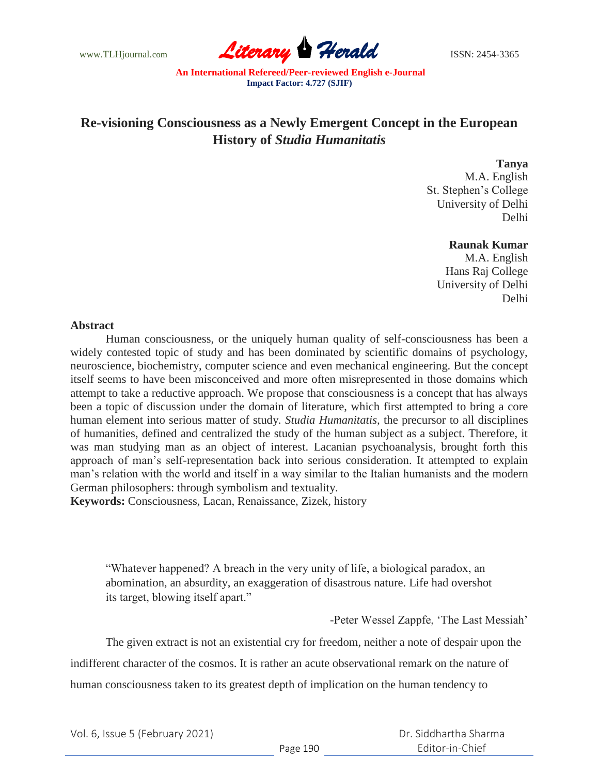www.TLHjournal.com **Literary Herald** ISSN: 2454-3365

# **Re-visioning Consciousness as a Newly Emergent Concept in the European History of** *Studia Humanitatis*

#### **Tanya**

M.A. English St. Stephen"s College University of Delhi Delhi

## **Raunak Kumar**

M.A. English Hans Raj College University of Delhi Delhi

#### **Abstract**

Human consciousness, or the uniquely human quality of self-consciousness has been a widely contested topic of study and has been dominated by scientific domains of psychology, neuroscience, biochemistry, computer science and even mechanical engineering. But the concept itself seems to have been misconceived and more often misrepresented in those domains which attempt to take a reductive approach. We propose that consciousness is a concept that has always been a topic of discussion under the domain of literature, which first attempted to bring a core human element into serious matter of study. *Studia Humanitatis,* the precursor to all disciplines of humanities, defined and centralized the study of the human subject as a subject. Therefore, it was man studying man as an object of interest. Lacanian psychoanalysis, brought forth this approach of man"s self-representation back into serious consideration. It attempted to explain man"s relation with the world and itself in a way similar to the Italian humanists and the modern German philosophers: through symbolism and textuality.

**Keywords:** Consciousness, Lacan, Renaissance, Zizek, history

"Whatever happened? A breach in the very unity of life, a biological paradox, an abomination, an absurdity, an exaggeration of disastrous nature. Life had overshot its target, blowing itself apart."

-Peter Wessel Zappfe, "The Last Messiah"

The given extract is not an existential cry for freedom, neither a note of despair upon the indifferent character of the cosmos. It is rather an acute observational remark on the nature of human consciousness taken to its greatest depth of implication on the human tendency to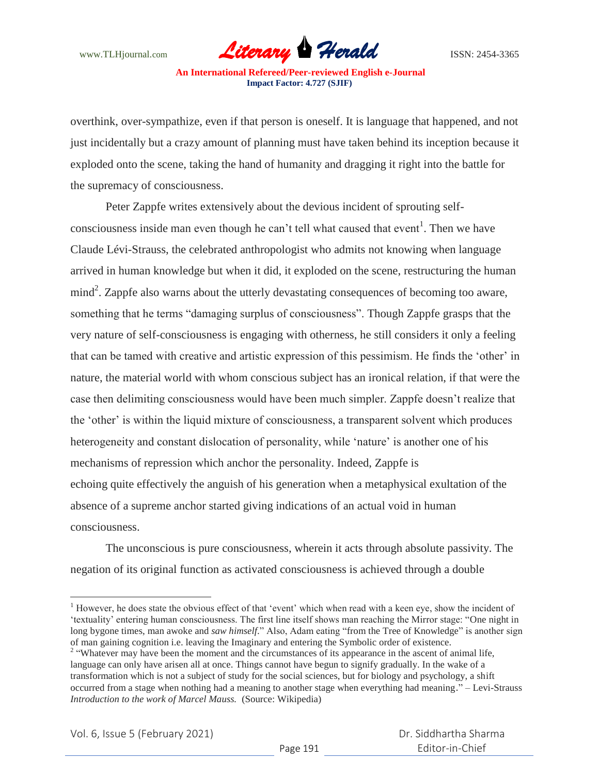

overthink, over-sympathize, even if that person is oneself. It is language that happened, and not just incidentally but a crazy amount of planning must have taken behind its inception because it exploded onto the scene, taking the hand of humanity and dragging it right into the battle for the supremacy of consciousness.

Peter Zappfe writes extensively about the devious incident of sprouting selfconsciousness inside man even though he can't tell what caused that event<sup>1</sup>. Then we have Claude Lévi-Strauss, the celebrated anthropologist who admits not knowing when language arrived in human knowledge but when it did, it exploded on the scene, restructuring the human mind<sup>2</sup>. Zappfe also warns about the utterly devastating consequences of becoming too aware, something that he terms "damaging surplus of consciousness". Though Zappfe grasps that the very nature of self-consciousness is engaging with otherness, he still considers it only a feeling that can be tamed with creative and artistic expression of this pessimism. He finds the "other" in nature, the material world with whom conscious subject has an ironical relation, if that were the case then delimiting consciousness would have been much simpler. Zappfe doesn"t realize that the "other" is within the liquid mixture of consciousness, a transparent solvent which produces heterogeneity and constant dislocation of personality, while 'nature' is another one of his mechanisms of repression which anchor the personality. Indeed, Zappfe is echoing quite effectively the anguish of his generation when a metaphysical exultation of the absence of a supreme anchor started giving indications of an actual void in human consciousness.

The unconscious is pure consciousness, wherein it acts through absolute passivity. The negation of its original function as activated consciousness is achieved through a double

 $\overline{a}$ 

<sup>&</sup>lt;sup>1</sup> However, he does state the obvious effect of that 'event' which when read with a keen eye, show the incident of "textuality" entering human consciousness. The first line itself shows man reaching the Mirror stage: "One night in long bygone times, man awoke and *saw himself*." Also, Adam eating "from the Tree of Knowledge" is another sign of man gaining cognition i.e. leaving the Imaginary and entering the Symbolic order of existence.

<sup>&</sup>lt;sup>2</sup> "Whatever may have been the moment and the circumstances of its appearance in the ascent of animal life, language can only have arisen all at once. Things cannot have begun to signify gradually. In the wake of a transformation which is not a subject of study for the social sciences, but for biology and psychology, a shift occurred from a stage when nothing had a meaning to another stage when everything had meaning." – Levi-Strauss *Introduction to the work of Marcel Mauss.* (Source: Wikipedia)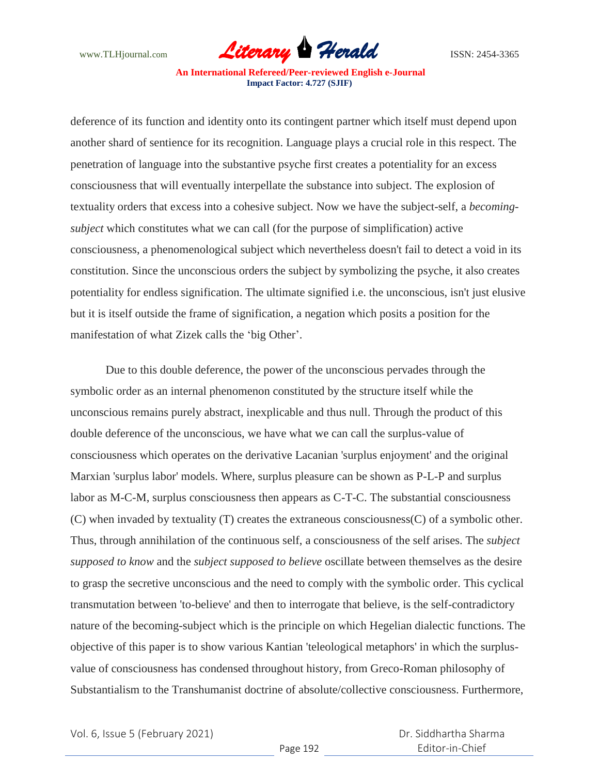

deference of its function and identity onto its contingent partner which itself must depend upon another shard of sentience for its recognition. Language plays a crucial role in this respect. The penetration of language into the substantive psyche first creates a potentiality for an excess consciousness that will eventually interpellate the substance into subject. The explosion of textuality orders that excess into a cohesive subject. Now we have the subject-self, a *becomingsubject* which constitutes what we can call (for the purpose of simplification) active consciousness, a phenomenological subject which nevertheless doesn't fail to detect a void in its constitution. Since the unconscious orders the subject by symbolizing the psyche, it also creates potentiality for endless signification. The ultimate signified i.e. the unconscious, isn't just elusive but it is itself outside the frame of signification, a negation which posits a position for the manifestation of what Zizek calls the 'big Other'.

Due to this double deference, the power of the unconscious pervades through the symbolic order as an internal phenomenon constituted by the structure itself while the unconscious remains purely abstract, inexplicable and thus null. Through the product of this double deference of the unconscious, we have what we can call the surplus-value of consciousness which operates on the derivative Lacanian 'surplus enjoyment' and the original Marxian 'surplus labor' models. Where, surplus pleasure can be shown as P-L-P and surplus labor as M-C-M, surplus consciousness then appears as C-T-C. The substantial consciousness (C) when invaded by textuality (T) creates the extraneous consciousness(C) of a symbolic other. Thus, through annihilation of the continuous self, a consciousness of the self arises. The *subject supposed to know* and the *subject supposed to believe* oscillate between themselves as the desire to grasp the secretive unconscious and the need to comply with the symbolic order. This cyclical transmutation between 'to-believe' and then to interrogate that believe, is the self-contradictory nature of the becoming-subject which is the principle on which Hegelian dialectic functions. The objective of this paper is to show various Kantian 'teleological metaphors' in which the surplusvalue of consciousness has condensed throughout history, from Greco-Roman philosophy of Substantialism to the Transhumanist doctrine of absolute/collective consciousness. Furthermore,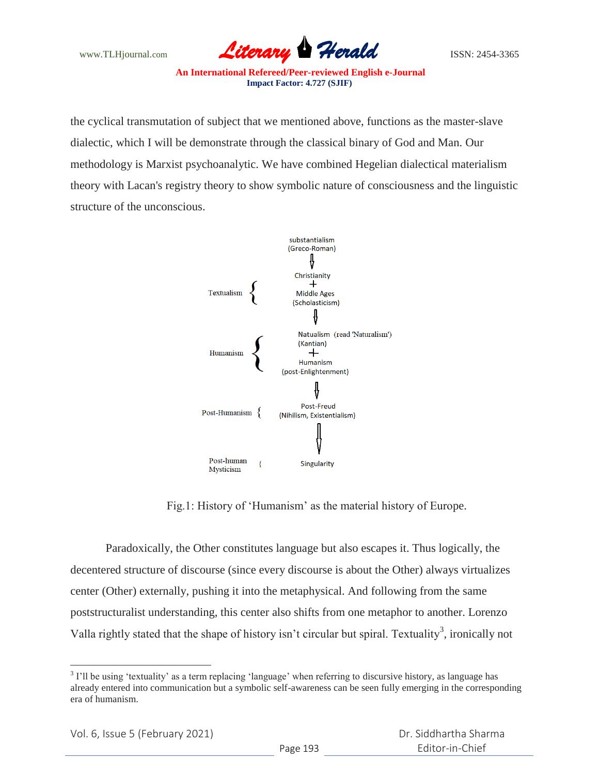

the cyclical transmutation of subject that we mentioned above, functions as the master-slave dialectic, which I will be demonstrate through the classical binary of God and Man. Our methodology is Marxist psychoanalytic. We have combined Hegelian dialectical materialism theory with Lacan's registry theory to show symbolic nature of consciousness and the linguistic structure of the unconscious.



Fig.1: History of "Humanism" as the material history of Europe.

Paradoxically, the Other constitutes language but also escapes it. Thus logically, the decentered structure of discourse (since every discourse is about the Other) always virtualizes center (Other) externally, pushing it into the metaphysical. And following from the same poststructuralist understanding, this center also shifts from one metaphor to another. Lorenzo Valla rightly stated that the shape of history isn't circular but spiral. Textuality<sup>3</sup>, ironically not

 $\overline{a}$  $3$  I'll be using 'textuality' as a term replacing 'language' when referring to discursive history, as language has already entered into communication but a symbolic self-awareness can be seen fully emerging in the corresponding era of humanism.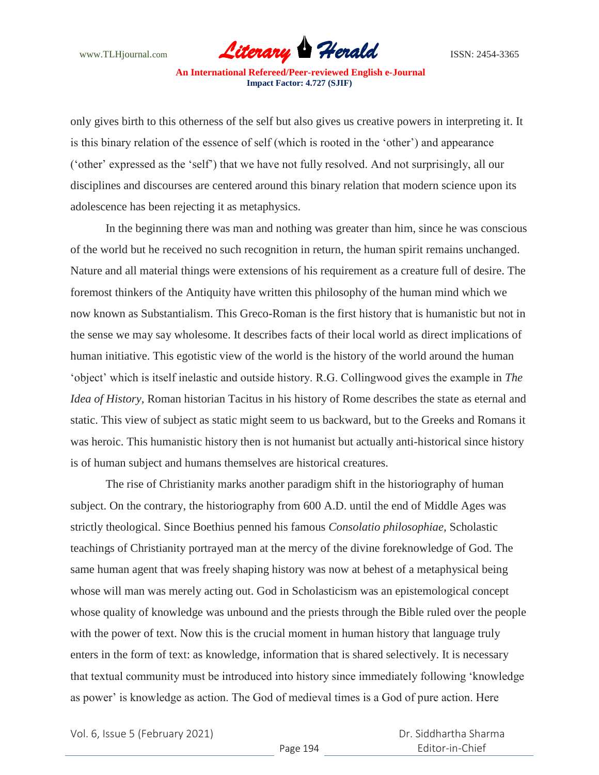

only gives birth to this otherness of the self but also gives us creative powers in interpreting it. It is this binary relation of the essence of self (which is rooted in the "other") and appearance ("other" expressed as the "self") that we have not fully resolved. And not surprisingly, all our disciplines and discourses are centered around this binary relation that modern science upon its adolescence has been rejecting it as metaphysics.

In the beginning there was man and nothing was greater than him, since he was conscious of the world but he received no such recognition in return, the human spirit remains unchanged. Nature and all material things were extensions of his requirement as a creature full of desire. The foremost thinkers of the Antiquity have written this philosophy of the human mind which we now known as Substantialism. This Greco-Roman is the first history that is humanistic but not in the sense we may say wholesome. It describes facts of their local world as direct implications of human initiative. This egotistic view of the world is the history of the world around the human "object" which is itself inelastic and outside history. R.G. Collingwood gives the example in *The Idea of History,* Roman historian Tacitus in his history of Rome describes the state as eternal and static. This view of subject as static might seem to us backward, but to the Greeks and Romans it was heroic. This humanistic history then is not humanist but actually anti-historical since history is of human subject and humans themselves are historical creatures.

The rise of Christianity marks another paradigm shift in the historiography of human subject. On the contrary, the historiography from 600 A.D. until the end of Middle Ages was strictly theological. Since Boethius penned his famous *Consolatio philosophiae,* Scholastic teachings of Christianity portrayed man at the mercy of the divine foreknowledge of God. The same human agent that was freely shaping history was now at behest of a metaphysical being whose will man was merely acting out. God in Scholasticism was an epistemological concept whose quality of knowledge was unbound and the priests through the Bible ruled over the people with the power of text. Now this is the crucial moment in human history that language truly enters in the form of text: as knowledge, information that is shared selectively. It is necessary that textual community must be introduced into history since immediately following "knowledge as power' is knowledge as action. The God of medieval times is a God of pure action. Here

Vol. 6, Issue 5 (February 2021)

 Dr. Siddhartha Sharma Editor-in-Chief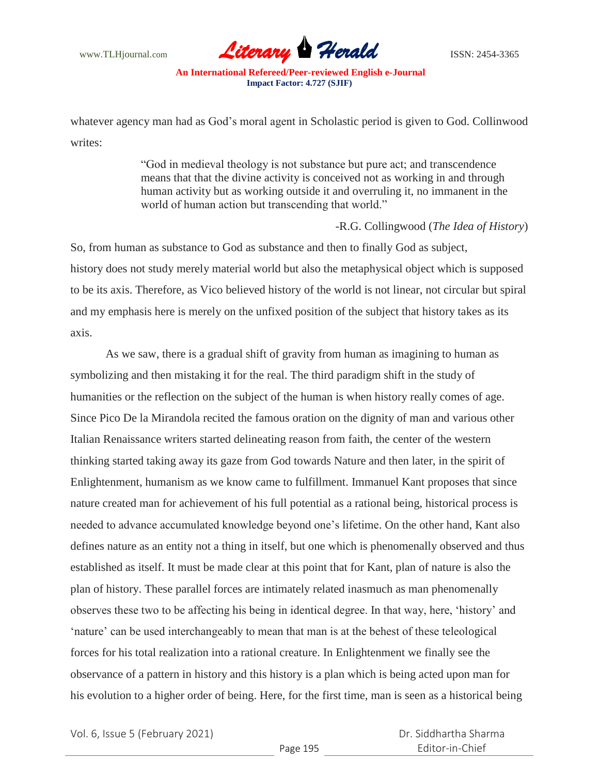

whatever agency man had as God"s moral agent in Scholastic period is given to God. Collinwood writes:

> "God in medieval theology is not substance but pure act; and transcendence means that that the divine activity is conceived not as working in and through human activity but as working outside it and overruling it, no immanent in the world of human action but transcending that world."

## -R.G. Collingwood (*The Idea of History*)

So, from human as substance to God as substance and then to finally God as subject, history does not study merely material world but also the metaphysical object which is supposed to be its axis. Therefore, as Vico believed history of the world is not linear, not circular but spiral and my emphasis here is merely on the unfixed position of the subject that history takes as its axis.

As we saw, there is a gradual shift of gravity from human as imagining to human as symbolizing and then mistaking it for the real. The third paradigm shift in the study of humanities or the reflection on the subject of the human is when history really comes of age. Since Pico De la Mirandola recited the famous oration on the dignity of man and various other Italian Renaissance writers started delineating reason from faith, the center of the western thinking started taking away its gaze from God towards Nature and then later, in the spirit of Enlightenment, humanism as we know came to fulfillment. Immanuel Kant proposes that since nature created man for achievement of his full potential as a rational being, historical process is needed to advance accumulated knowledge beyond one"s lifetime. On the other hand, Kant also defines nature as an entity not a thing in itself, but one which is phenomenally observed and thus established as itself. It must be made clear at this point that for Kant, plan of nature is also the plan of history. These parallel forces are intimately related inasmuch as man phenomenally observes these two to be affecting his being in identical degree. In that way, here, "history" and 'nature' can be used interchangeably to mean that man is at the behest of these teleological forces for his total realization into a rational creature. In Enlightenment we finally see the observance of a pattern in history and this history is a plan which is being acted upon man for his evolution to a higher order of being. Here, for the first time, man is seen as a historical being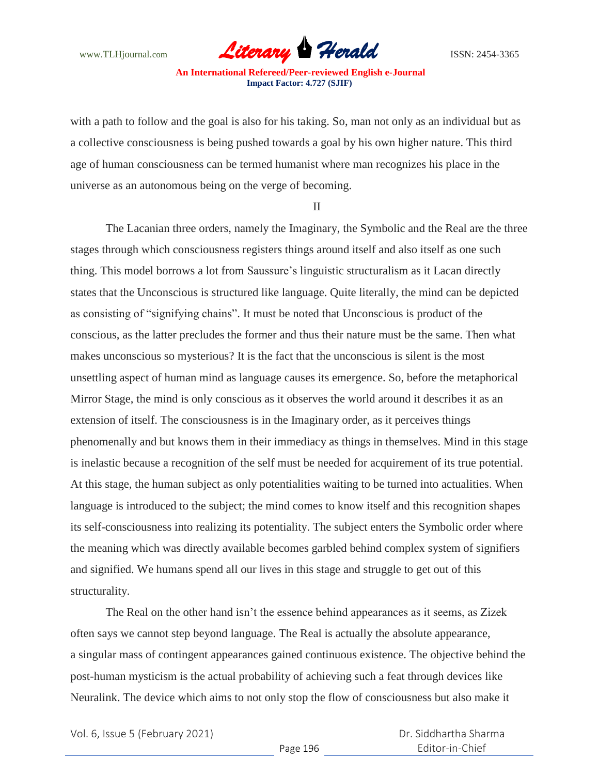

with a path to follow and the goal is also for his taking. So, man not only as an individual but as a collective consciousness is being pushed towards a goal by his own higher nature. This third age of human consciousness can be termed humanist where man recognizes his place in the universe as an autonomous being on the verge of becoming.

II

The Lacanian three orders, namely the Imaginary, the Symbolic and the Real are the three stages through which consciousness registers things around itself and also itself as one such thing. This model borrows a lot from Saussure"s linguistic structuralism as it Lacan directly states that the Unconscious is structured like language. Quite literally, the mind can be depicted as consisting of "signifying chains". It must be noted that Unconscious is product of the conscious, as the latter precludes the former and thus their nature must be the same. Then what makes unconscious so mysterious? It is the fact that the unconscious is silent is the most unsettling aspect of human mind as language causes its emergence. So, before the metaphorical Mirror Stage, the mind is only conscious as it observes the world around it describes it as an extension of itself. The consciousness is in the Imaginary order, as it perceives things phenomenally and but knows them in their immediacy as things in themselves. Mind in this stage is inelastic because a recognition of the self must be needed for acquirement of its true potential. At this stage, the human subject as only potentialities waiting to be turned into actualities. When language is introduced to the subject; the mind comes to know itself and this recognition shapes its self-consciousness into realizing its potentiality. The subject enters the Symbolic order where the meaning which was directly available becomes garbled behind complex system of signifiers and signified. We humans spend all our lives in this stage and struggle to get out of this structurality.

The Real on the other hand isn"t the essence behind appearances as it seems, as Zizek often says we cannot step beyond language. The Real is actually the absolute appearance, a singular mass of contingent appearances gained continuous existence. The objective behind the post-human mysticism is the actual probability of achieving such a feat through devices like Neuralink. The device which aims to not only stop the flow of consciousness but also make it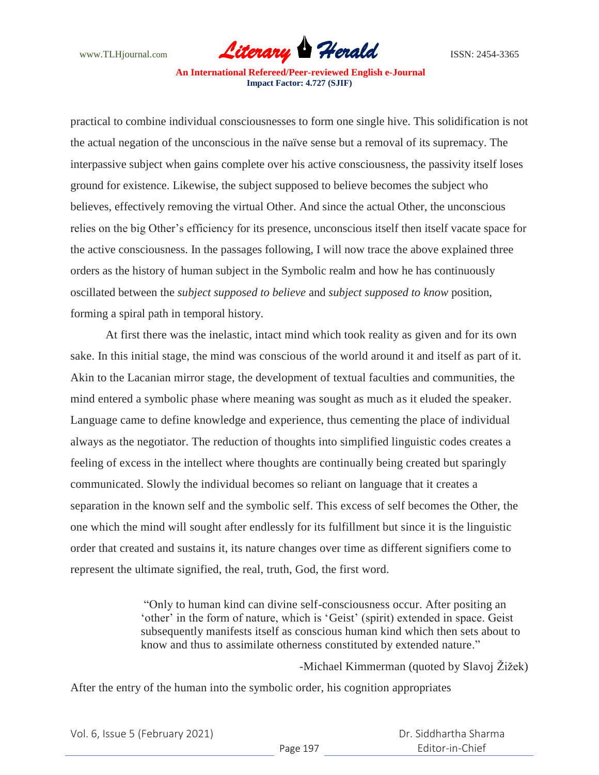

practical to combine individual consciousnesses to form one single hive. This solidification is not the actual negation of the unconscious in the naïve sense but a removal of its supremacy. The interpassive subject when gains complete over his active consciousness, the passivity itself loses ground for existence. Likewise, the subject supposed to believe becomes the subject who believes, effectively removing the virtual Other. And since the actual Other, the unconscious relies on the big Other"s efficiency for its presence, unconscious itself then itself vacate space for the active consciousness. In the passages following, I will now trace the above explained three orders as the history of human subject in the Symbolic realm and how he has continuously oscillated between the *subject supposed to believe* and *subject supposed to know* position, forming a spiral path in temporal history.

At first there was the inelastic, intact mind which took reality as given and for its own sake. In this initial stage, the mind was conscious of the world around it and itself as part of it. Akin to the Lacanian mirror stage, the development of textual faculties and communities, the mind entered a symbolic phase where meaning was sought as much as it eluded the speaker. Language came to define knowledge and experience, thus cementing the place of individual always as the negotiator. The reduction of thoughts into simplified linguistic codes creates a feeling of excess in the intellect where thoughts are continually being created but sparingly communicated. Slowly the individual becomes so reliant on language that it creates a separation in the known self and the symbolic self. This excess of self becomes the Other, the one which the mind will sought after endlessly for its fulfillment but since it is the linguistic order that created and sustains it, its nature changes over time as different signifiers come to represent the ultimate signified, the real, truth, God, the first word.

> "Only to human kind can divine self-consciousness occur. After positing an "other" in the form of nature, which is "Geist" (spirit) extended in space. Geist subsequently manifests itself as conscious human kind which then sets about to know and thus to assimilate otherness constituted by extended nature."

> > *-*Michael Kimmerman (quoted by Slavoj Žižek)

After the entry of the human into the symbolic order, his cognition appropriates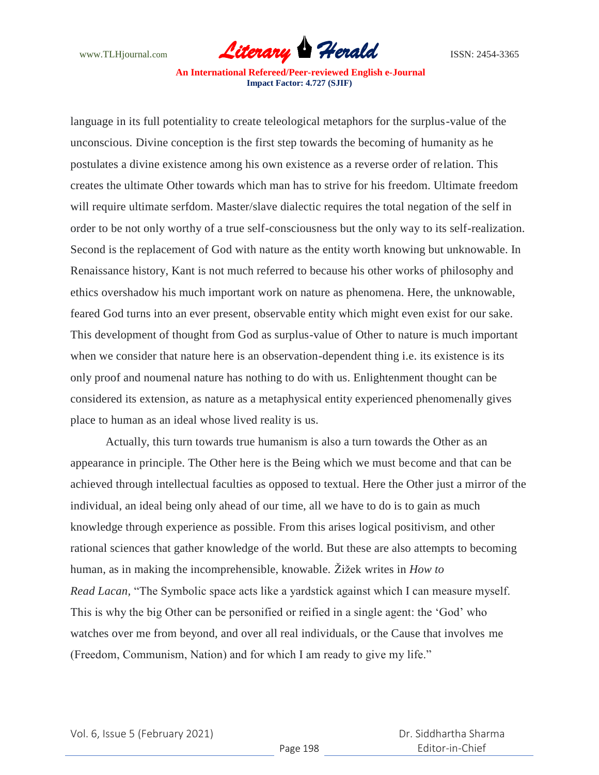

language in its full potentiality to create teleological metaphors for the surplus-value of the unconscious. Divine conception is the first step towards the becoming of humanity as he postulates a divine existence among his own existence as a reverse order of relation. This creates the ultimate Other towards which man has to strive for his freedom. Ultimate freedom will require ultimate serfdom. Master/slave dialectic requires the total negation of the self in order to be not only worthy of a true self-consciousness but the only way to its self-realization. Second is the replacement of God with nature as the entity worth knowing but unknowable. In Renaissance history, Kant is not much referred to because his other works of philosophy and ethics overshadow his much important work on nature as phenomena. Here, the unknowable, feared God turns into an ever present, observable entity which might even exist for our sake. This development of thought from God as surplus-value of Other to nature is much important when we consider that nature here is an observation-dependent thing i.e. its existence is its only proof and noumenal nature has nothing to do with us. Enlightenment thought can be considered its extension, as nature as a metaphysical entity experienced phenomenally gives place to human as an ideal whose lived reality is us.

Actually, this turn towards true humanism is also a turn towards the Other as an appearance in principle. The Other here is the Being which we must become and that can be achieved through intellectual faculties as opposed to textual. Here the Other just a mirror of the individual, an ideal being only ahead of our time, all we have to do is to gain as much knowledge through experience as possible. From this arises logical positivism, and other rational sciences that gather knowledge of the world. But these are also attempts to becoming human, as in making the incomprehensible, knowable. Žižek writes in *How to Read Lacan,* "The Symbolic space acts like a yardstick against which I can measure myself. This is why the big Other can be personified or reified in a single agent: the "God" who watches over me from beyond, and over all real individuals, or the Cause that involves me (Freedom, Communism, Nation) and for which I am ready to give my life."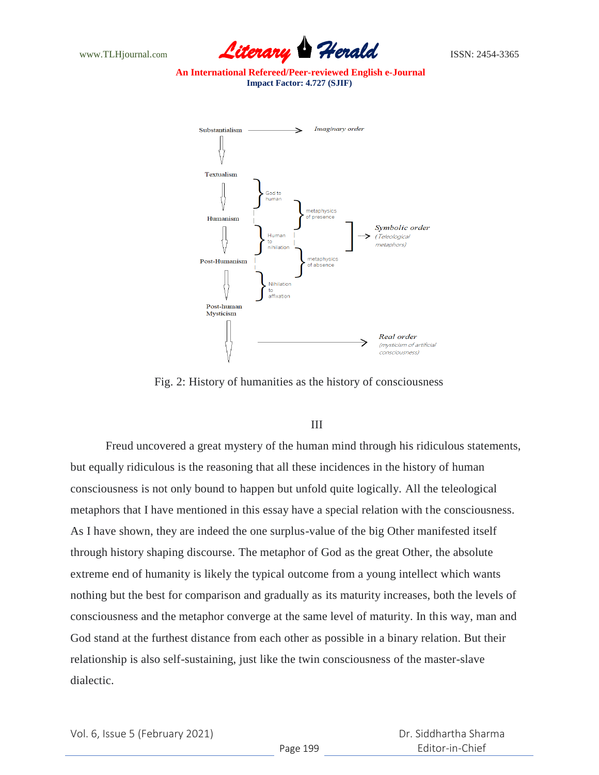



Fig. 2: History of humanities as the history of consciousness

# III

Freud uncovered a great mystery of the human mind through his ridiculous statements, but equally ridiculous is the reasoning that all these incidences in the history of human consciousness is not only bound to happen but unfold quite logically. All the teleological metaphors that I have mentioned in this essay have a special relation with the consciousness. As I have shown, they are indeed the one surplus-value of the big Other manifested itself through history shaping discourse. The metaphor of God as the great Other, the absolute extreme end of humanity is likely the typical outcome from a young intellect which wants nothing but the best for comparison and gradually as its maturity increases, both the levels of consciousness and the metaphor converge at the same level of maturity. In this way, man and God stand at the furthest distance from each other as possible in a binary relation. But their relationship is also self-sustaining, just like the twin consciousness of the master-slave dialectic.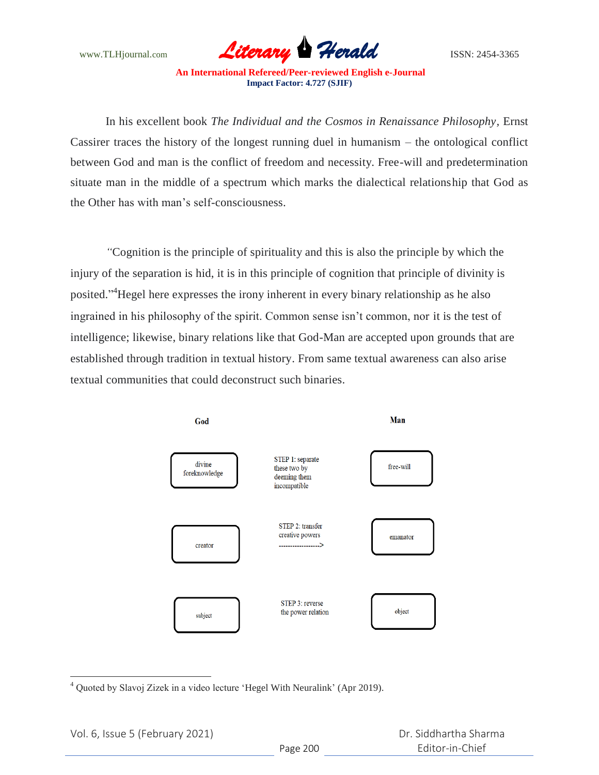

In his excellent book *The Individual and the Cosmos in Renaissance Philosophy,* Ernst Cassirer traces the history of the longest running duel in humanism – the ontological conflict between God and man is the conflict of freedom and necessity. Free-will and predetermination situate man in the middle of a spectrum which marks the dialectical relationship that God as the Other has with man"s self-consciousness.

*"*Cognition is the principle of spirituality and this is also the principle by which the injury of the separation is hid, it is in this principle of cognition that principle of divinity is posited."<sup>4</sup>Hegel here expresses the irony inherent in every binary relationship as he also ingrained in his philosophy of the spirit. Common sense isn't common, nor it is the test of intelligence; likewise, binary relations like that God-Man are accepted upon grounds that are established through tradition in textual history. From same textual awareness can also arise textual communities that could deconstruct such binaries.



 $\overline{a}$  $4$  Quoted by Slavoj Zizek in a video lecture 'Hegel With Neuralink' (Apr 2019).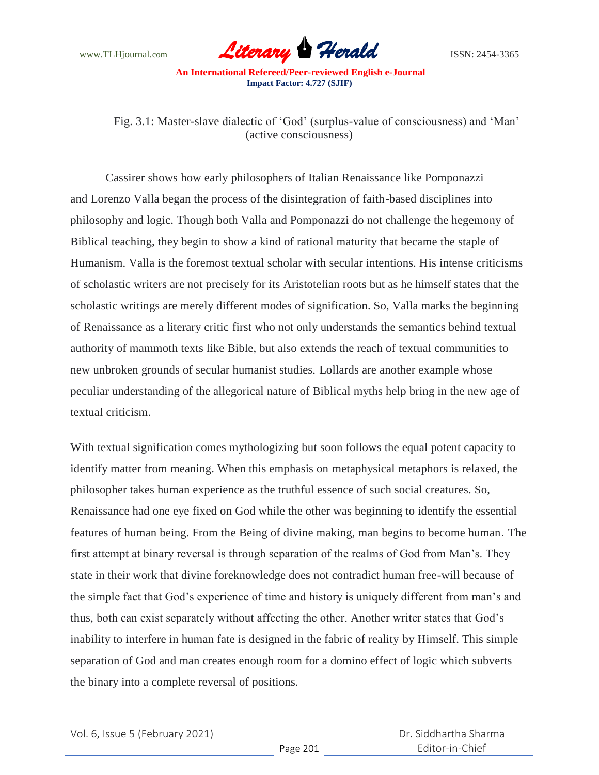

Fig. 3.1: Master-slave dialectic of 'God' (surplus-value of consciousness) and 'Man' (active consciousness)

Cassirer shows how early philosophers of Italian Renaissance like Pomponazzi and Lorenzo Valla began the process of the disintegration of faith-based disciplines into philosophy and logic. Though both Valla and Pomponazzi do not challenge the hegemony of Biblical teaching, they begin to show a kind of rational maturity that became the staple of Humanism. Valla is the foremost textual scholar with secular intentions. His intense criticisms of scholastic writers are not precisely for its Aristotelian roots but as he himself states that the scholastic writings are merely different modes of signification. So, Valla marks the beginning of Renaissance as a literary critic first who not only understands the semantics behind textual authority of mammoth texts like Bible, but also extends the reach of textual communities to new unbroken grounds of secular humanist studies. Lollards are another example whose peculiar understanding of the allegorical nature of Biblical myths help bring in the new age of textual criticism.

With textual signification comes mythologizing but soon follows the equal potent capacity to identify matter from meaning. When this emphasis on metaphysical metaphors is relaxed, the philosopher takes human experience as the truthful essence of such social creatures. So, Renaissance had one eye fixed on God while the other was beginning to identify the essential features of human being. From the Being of divine making, man begins to become human. The first attempt at binary reversal is through separation of the realms of God from Man"s. They state in their work that divine foreknowledge does not contradict human free-will because of the simple fact that God"s experience of time and history is uniquely different from man"s and thus, both can exist separately without affecting the other. Another writer states that God"s inability to interfere in human fate is designed in the fabric of reality by Himself. This simple separation of God and man creates enough room for a domino effect of logic which subverts the binary into a complete reversal of positions.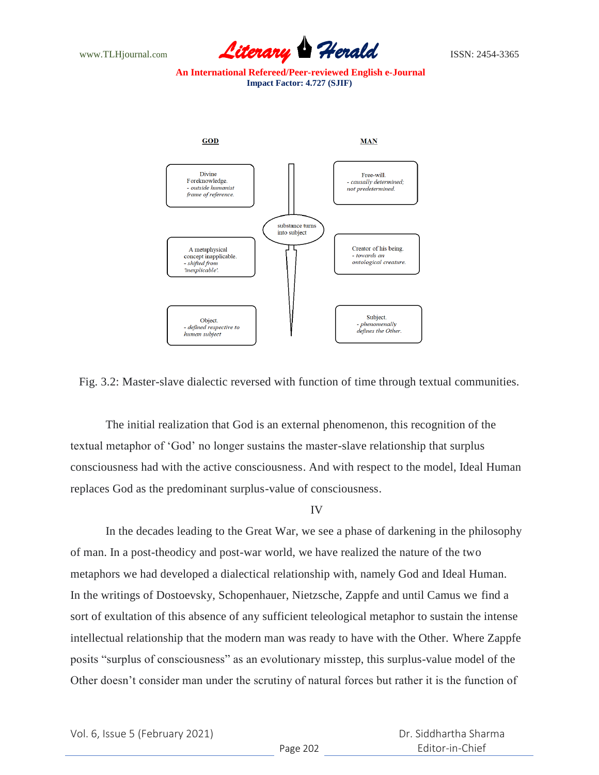



Fig. 3.2: Master-slave dialectic reversed with function of time through textual communities.

The initial realization that God is an external phenomenon, this recognition of the textual metaphor of "God" no longer sustains the master-slave relationship that surplus consciousness had with the active consciousness. And with respect to the model, Ideal Human replaces God as the predominant surplus-value of consciousness.

### IV

In the decades leading to the Great War, we see a phase of darkening in the philosophy of man. In a post-theodicy and post-war world, we have realized the nature of the two metaphors we had developed a dialectical relationship with, namely God and Ideal Human. In the writings of Dostoevsky, Schopenhauer, Nietzsche, Zappfe and until Camus we find a sort of exultation of this absence of any sufficient teleological metaphor to sustain the intense intellectual relationship that the modern man was ready to have with the Other. Where Zappfe posits "surplus of consciousness" as an evolutionary misstep, this surplus-value model of the Other doesn"t consider man under the scrutiny of natural forces but rather it is the function of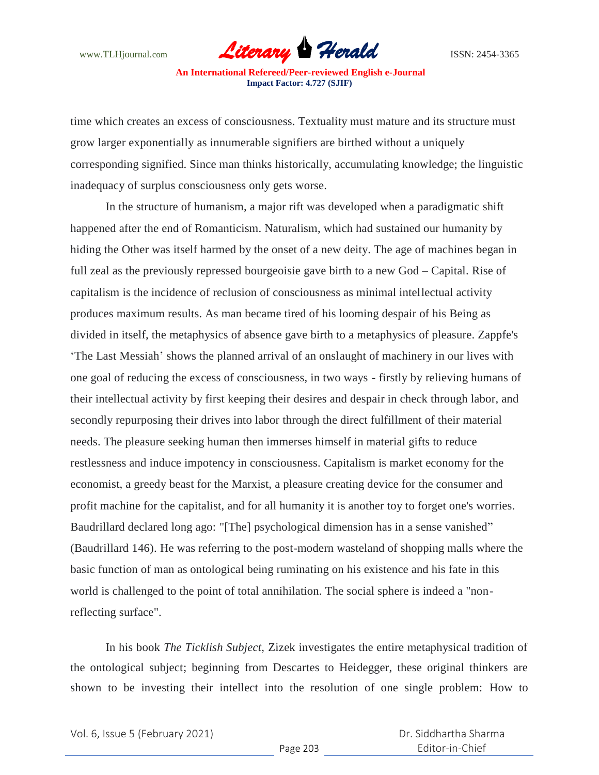

time which creates an excess of consciousness. Textuality must mature and its structure must grow larger exponentially as innumerable signifiers are birthed without a uniquely corresponding signified. Since man thinks historically, accumulating knowledge; the linguistic inadequacy of surplus consciousness only gets worse.

In the structure of humanism, a major rift was developed when a paradigmatic shift happened after the end of Romanticism. Naturalism, which had sustained our humanity by hiding the Other was itself harmed by the onset of a new deity. The age of machines began in full zeal as the previously repressed bourgeoisie gave birth to a new God – Capital. Rise of capitalism is the incidence of reclusion of consciousness as minimal intellectual activity produces maximum results. As man became tired of his looming despair of his Being as divided in itself, the metaphysics of absence gave birth to a metaphysics of pleasure. Zappfe's "The Last Messiah" shows the planned arrival of an onslaught of machinery in our lives with one goal of reducing the excess of consciousness, in two ways - firstly by relieving humans of their intellectual activity by first keeping their desires and despair in check through labor, and secondly repurposing their drives into labor through the direct fulfillment of their material needs. The pleasure seeking human then immerses himself in material gifts to reduce restlessness and induce impotency in consciousness. Capitalism is market economy for the economist, a greedy beast for the Marxist, a pleasure creating device for the consumer and profit machine for the capitalist, and for all humanity it is another toy to forget one's worries. Baudrillard declared long ago: "[The] psychological dimension has in a sense vanished" (Baudrillard 146). He was referring to the post-modern wasteland of shopping malls where the basic function of man as ontological being ruminating on his existence and his fate in this world is challenged to the point of total annihilation. The social sphere is indeed a "nonreflecting surface".

In his book *The Ticklish Subject,* Zizek investigates the entire metaphysical tradition of the ontological subject; beginning from Descartes to Heidegger, these original thinkers are shown to be investing their intellect into the resolution of one single problem: How to

Vol. 6, Issue 5 (February 2021)

 Dr. Siddhartha Sharma Editor-in-Chief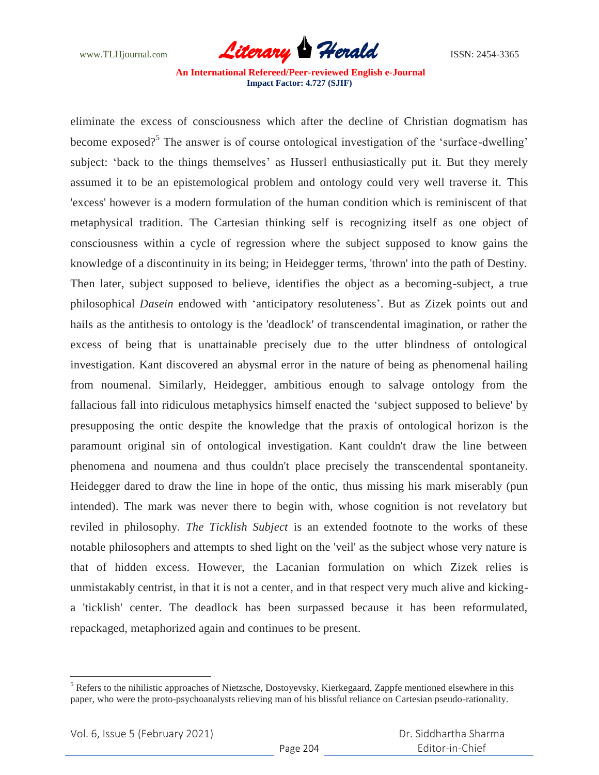

eliminate the excess of consciousness which after the decline of Christian dogmatism has become exposed?<sup>5</sup> The answer is of course ontological investigation of the 'surface-dwelling' subject: 'back to the things themselves' as Husserl enthusiastically put it. But they merely assumed it to be an epistemological problem and ontology could very well traverse it. This 'excess' however is a modern formulation of the human condition which is reminiscent of that metaphysical tradition. The Cartesian thinking self is recognizing itself as one object of consciousness within a cycle of regression where the subject supposed to know gains the knowledge of a discontinuity in its being; in Heidegger terms, 'thrown' into the path of Destiny. Then later, subject supposed to believe, identifies the object as a becoming-subject, a true philosophical *Dasein* endowed with "anticipatory resoluteness". But as Zizek points out and hails as the antithesis to ontology is the 'deadlock' of transcendental imagination, or rather the excess of being that is unattainable precisely due to the utter blindness of ontological investigation. Kant discovered an abysmal error in the nature of being as phenomenal hailing from noumenal. Similarly, Heidegger, ambitious enough to salvage ontology from the fallacious fall into ridiculous metaphysics himself enacted the "subject supposed to believe' by presupposing the ontic despite the knowledge that the praxis of ontological horizon is the paramount original sin of ontological investigation. Kant couldn't draw the line between phenomena and noumena and thus couldn't place precisely the transcendental spontaneity. Heidegger dared to draw the line in hope of the ontic, thus missing his mark miserably (pun intended). The mark was never there to begin with, whose cognition is not revelatory but reviled in philosophy. *The Ticklish Subject* is an extended footnote to the works of these notable philosophers and attempts to shed light on the 'veil' as the subject whose very nature is that of hidden excess. However, the Lacanian formulation on which Zizek relies is unmistakably centrist, in that it is not a center, and in that respect very much alive and kickinga 'ticklish' center. The deadlock has been surpassed because it has been reformulated, repackaged, metaphorized again and continues to be present.

 $\overline{a}$ 

 $<sup>5</sup>$  Refers to the nihilistic approaches of Nietzsche, Dostoyevsky, Kierkegaard, Zappfe mentioned elsewhere in this</sup> paper, who were the proto-psychoanalysts relieving man of his blissful reliance on Cartesian pseudo-rationality.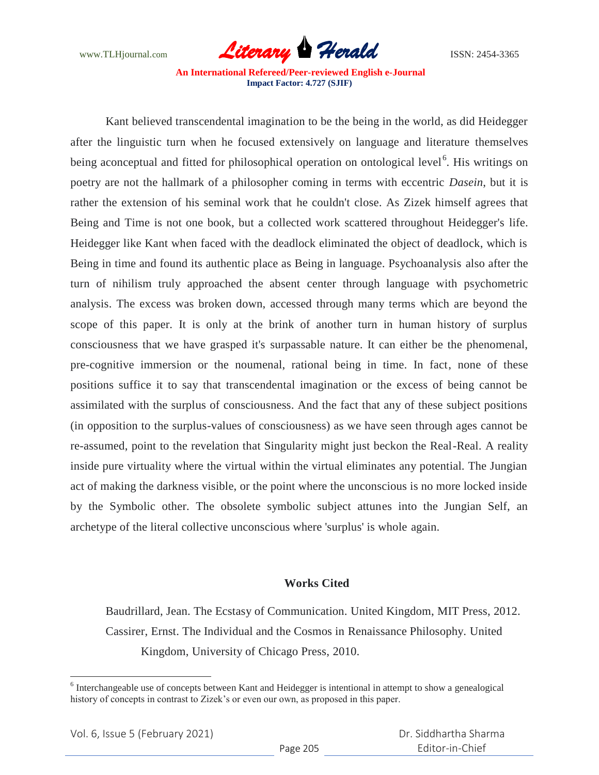

Kant believed transcendental imagination to be the being in the world, as did Heidegger after the linguistic turn when he focused extensively on language and literature themselves being aconceptual and fitted for philosophical operation on ontological level<sup>6</sup>. His writings on poetry are not the hallmark of a philosopher coming in terms with eccentric *Dasein*, but it is rather the extension of his seminal work that he couldn't close. As Zizek himself agrees that Being and Time is not one book, but a collected work scattered throughout Heidegger's life. Heidegger like Kant when faced with the deadlock eliminated the object of deadlock, which is Being in time and found its authentic place as Being in language. Psychoanalysis also after the turn of nihilism truly approached the absent center through language with psychometric analysis. The excess was broken down, accessed through many terms which are beyond the scope of this paper. It is only at the brink of another turn in human history of surplus consciousness that we have grasped it's surpassable nature. It can either be the phenomenal, pre-cognitive immersion or the noumenal, rational being in time. In fact, none of these positions suffice it to say that transcendental imagination or the excess of being cannot be assimilated with the surplus of consciousness. And the fact that any of these subject positions (in opposition to the surplus-values of consciousness) as we have seen through ages cannot be re-assumed, point to the revelation that Singularity might just beckon the Real-Real. A reality inside pure virtuality where the virtual within the virtual eliminates any potential. The Jungian act of making the darkness visible, or the point where the unconscious is no more locked inside by the Symbolic other. The obsolete symbolic subject attunes into the Jungian Self, an archetype of the literal collective unconscious where 'surplus' is whole again.

# **Works Cited**

Baudrillard, Jean. The Ecstasy of Communication. United Kingdom, MIT Press, 2012. Cassirer, Ernst. The Individual and the Cosmos in Renaissance Philosophy. United Kingdom, University of Chicago Press, 2010.

 $\overline{a}$ 

<sup>&</sup>lt;sup>6</sup> Interchangeable use of concepts between Kant and Heidegger is intentional in attempt to show a genealogical history of concepts in contrast to Zizek"s or even our own, as proposed in this paper.